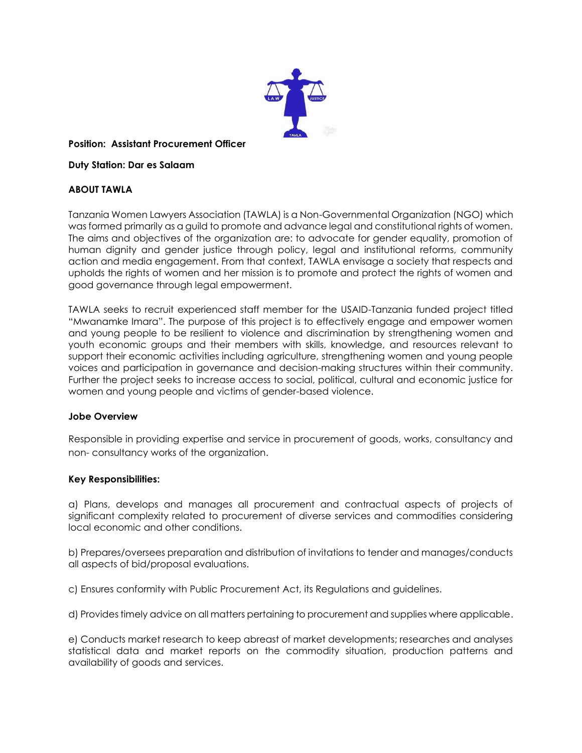

#### **Position: Assistant Procurement Officer**

**Duty Station: Dar es Salaam**

## **ABOUT TAWLA**

Tanzania Women Lawyers Association (TAWLA) is a Non-Governmental Organization (NGO) which was formed primarily as a guild to promote and advance legal and constitutional rights of women. The aims and objectives of the organization are: to advocate for gender equality, promotion of human dignity and gender justice through policy, legal and institutional reforms, community action and media engagement. From that context, TAWLA envisage a society that respects and upholds the rights of women and her mission is to promote and protect the rights of women and good governance through legal empowerment.

TAWLA seeks to recruit experienced staff member for the USAID-Tanzania funded project titled "Mwanamke Imara". The purpose of this project is to effectively engage and empower women and young people to be resilient to violence and discrimination by strengthening women and youth economic groups and their members with skills, knowledge, and resources relevant to support their economic activities including agriculture, strengthening women and young people voices and participation in governance and decision-making structures within their community. Further the project seeks to increase access to social, political, cultural and economic justice for women and young people and victims of gender-based violence.

### **Jobe Overview**

Responsible in providing expertise and service in procurement of goods, works, consultancy and non- consultancy works of the organization.

### **Key Responsibilities:**

a) Plans, develops and manages all procurement and contractual aspects of projects of significant complexity related to procurement of diverse services and commodities considering local economic and other conditions.

b) Prepares/oversees preparation and distribution of invitations to tender and manages/conducts all aspects of bid/proposal evaluations.

c) Ensures conformity with Public Procurement Act, its Regulations and guidelines.

d) Provides timely advice on all matters pertaining to procurement and supplies where applicable.

e) Conducts market research to keep abreast of market developments; researches and analyses statistical data and market reports on the commodity situation, production patterns and availability of goods and services.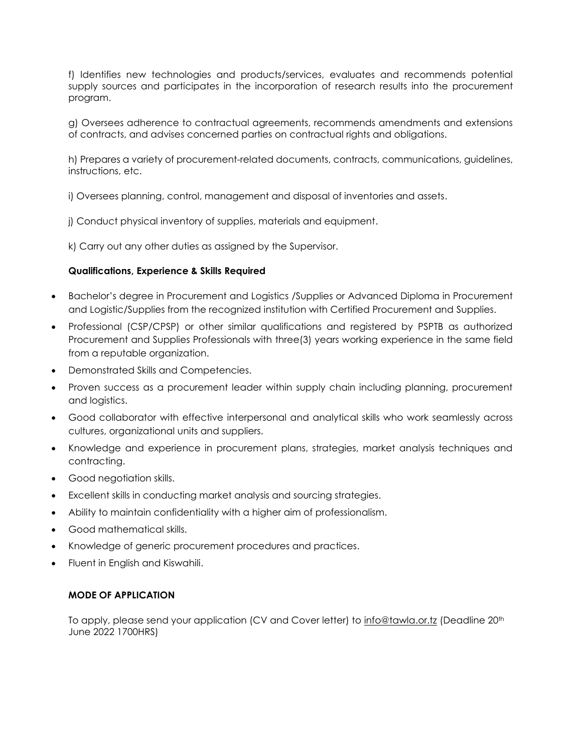f) Identifies new technologies and products/services, evaluates and recommends potential supply sources and participates in the incorporation of research results into the procurement program.

g) Oversees adherence to contractual agreements, recommends amendments and extensions of contracts, and advises concerned parties on contractual rights and obligations.

h) Prepares a variety of procurement-related documents, contracts, communications, guidelines, instructions, etc.

i) Oversees planning, control, management and disposal of inventories and assets.

j) Conduct physical inventory of supplies, materials and equipment.

k) Carry out any other duties as assigned by the Supervisor.

### **Qualifications, Experience & Skills Required**

- Bachelor's degree in Procurement and Logistics /Supplies or Advanced Diploma in Procurement and Logistic/Supplies from the recognized institution with Certified Procurement and Supplies.
- Professional (CSP/CPSP) or other similar qualifications and registered by PSPTB as authorized Procurement and Supplies Professionals with three(3) years working experience in the same field from a reputable organization.
- Demonstrated Skills and Competencies.
- Proven success as a procurement leader within supply chain including planning, procurement and logistics.
- Good collaborator with effective interpersonal and analytical skills who work seamlessly across cultures, organizational units and suppliers.
- Knowledge and experience in procurement plans, strategies, market analysis techniques and contracting.
- Good negotiation skills.
- Excellent skills in conducting market analysis and sourcing strategies.
- Ability to maintain confidentiality with a higher aim of professionalism.
- Good mathematical skills.
- Knowledge of generic procurement procedures and practices.
- Fluent in English and Kiswahili.

### **MODE OF APPLICATION**

To apply, please send your application (CV and Cover letter) to [info@tawla.or.tz](mailto:info@tawla.or.tz) (Deadline 20<sup>th</sup> June 2022 1700HRS)